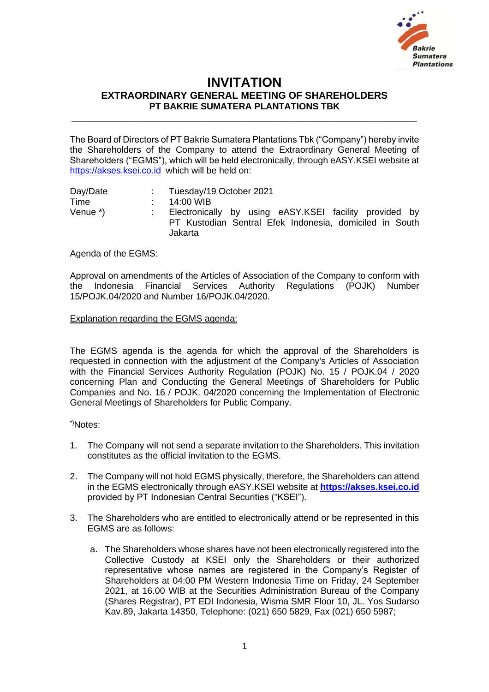

## **INVITATION EXTRAORDINARY GENERAL MEETING OF SHAREHOLDERS PT BAKRIE SUMATERA PLANTATIONS TBK**

**\_\_\_\_\_\_\_\_\_\_\_\_\_\_\_\_\_\_\_\_\_\_\_\_\_\_\_\_\_\_\_\_\_\_\_\_\_\_\_\_\_\_\_\_\_\_\_\_\_\_\_\_\_\_\_\_\_\_\_\_\_\_\_**

The Board of Directors of PT Bakrie Sumatera Plantations Tbk ("Company") hereby invite the Shareholders of the Company to attend the Extraordinary General Meeting of Shareholders ("EGMS"), which will be held electronically, through eASY.KSEI website at [https://akses.ksei.co.id](https://akses.ksei.co.id/) which will be held on:

Day/Date : Tuesday/19 October 2021<br>Time : 14:00 WIB Time : 14:00 WIB<br>Venue \*) : Electronica : Electronically by using eASY.KSEI facility provided by PT Kustodian Sentral Efek Indonesia, domiciled in South Jakarta

## Agenda of the EGMS:

Approval on amendments of the Articles of Association of the Company to conform with the Indonesia Financial Services Authority Regulations (POJK) Number 15/POJK.04/2020 and Number 16/POJK.04/2020.

## Explanation regarding the EGMS agenda:

The EGMS agenda is the agenda for which the approval of the Shareholders is requested in connection with the adjustment of the Company's Articles of Association with the Financial Services Authority Regulation (POJK) No. 15 / POJK.04 / 2020 concerning Plan and Conducting the General Meetings of Shareholders for Public Companies and No. 16 / POJK. 04/2020 concerning the Implementation of Electronic General Meetings of Shareholders for Public Company.

\*)Notes:

- 1. The Company will not send a separate invitation to the Shareholders. This invitation constitutes as the official invitation to the EGMS.
- 2. The Company will not hold EGMS physically, therefore, the Shareholders can attend in the EGMS electronically through eASY.KSEI website at **[https://akses.ksei.co.id](https://akses.ksei.co.id/)** provided by PT Indonesian Central Securities ("KSEI").
- 3. The Shareholders who are entitled to electronically attend or be represented in this EGMS are as follows:
	- a. The Shareholders whose shares have not been electronically registered into the Collective Custody at KSEI only the Shareholders or their authorized representative whose names are registered in the Company's Register of Shareholders at 04:00 PM Western Indonesia Time on Friday, 24 September 2021, at 16.00 WIB at the Securities Administration Bureau of the Company (Shares Registrar), PT EDI Indonesia, Wisma SMR Floor 10, JL. Yos Sudarso Kav.89, Jakarta 14350, Telephone: (021) 650 5829, Fax (021) 650 5987;